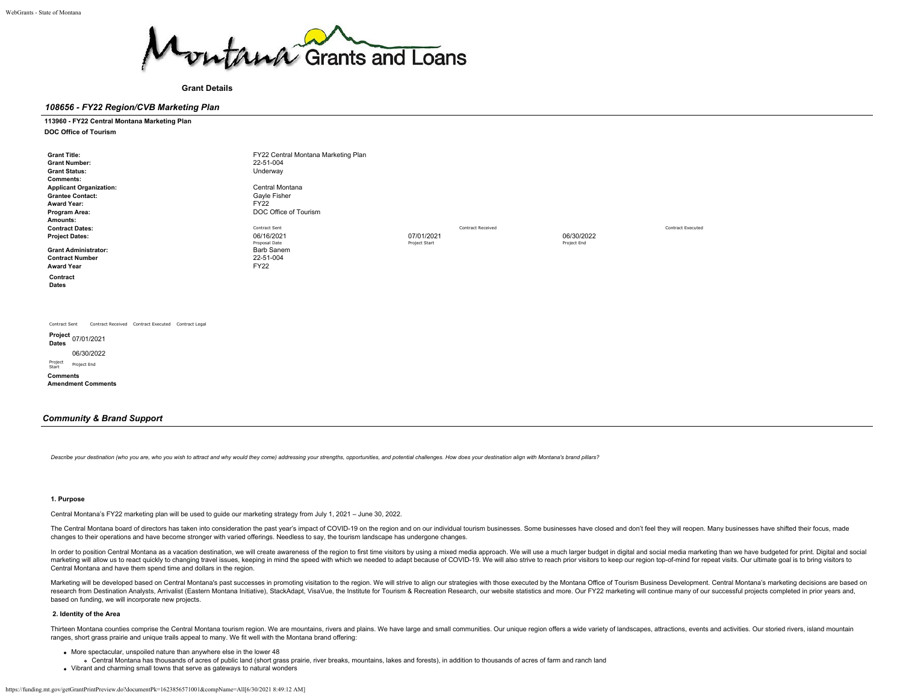

**Grant Details**

## *108656 - FY22 Region/CVB Marketing Plan*

## **113960 - FY22 Central Montana Marketing Plan**

**DOC Office of Tourism**

| <b>Grant Title:</b>                                                 | FY22 Central Montana Marketing Plan |               |                          |             |                   |
|---------------------------------------------------------------------|-------------------------------------|---------------|--------------------------|-------------|-------------------|
| <b>Grant Number:</b>                                                | 22-51-004                           |               |                          |             |                   |
| <b>Grant Status:</b>                                                | Underway                            |               |                          |             |                   |
| Comments:                                                           |                                     |               |                          |             |                   |
| <b>Applicant Organization:</b>                                      | Central Montana                     |               |                          |             |                   |
| <b>Grantee Contact:</b>                                             | Gayle Fisher                        |               |                          |             |                   |
| Award Year:                                                         | <b>FY22</b>                         |               |                          |             |                   |
| Program Area:                                                       | DOC Office of Tourism               |               |                          |             |                   |
| Amounts:                                                            |                                     |               |                          |             |                   |
| <b>Contract Dates:</b>                                              | Contract Sent                       |               | <b>Contract Received</b> |             | Contract Executed |
| <b>Project Dates:</b>                                               | 06/16/2021                          | 07/01/2021    |                          | 06/30/2022  |                   |
|                                                                     | Proposal Date                       | Project Start |                          | Project End |                   |
| <b>Grant Administrator:</b>                                         | <b>Barb Sanem</b>                   |               |                          |             |                   |
| <b>Contract Number</b>                                              | 22-51-004                           |               |                          |             |                   |
| <b>Award Year</b>                                                   | <b>FY22</b>                         |               |                          |             |                   |
| Contract                                                            |                                     |               |                          |             |                   |
| Dates                                                               |                                     |               |                          |             |                   |
|                                                                     |                                     |               |                          |             |                   |
|                                                                     |                                     |               |                          |             |                   |
|                                                                     |                                     |               |                          |             |                   |
|                                                                     |                                     |               |                          |             |                   |
| Contract Received Contract Executed Contract Legal<br>Contract Sent |                                     |               |                          |             |                   |
| Project 07/01/2021                                                  |                                     |               |                          |             |                   |
| Dates                                                               |                                     |               |                          |             |                   |
| 06/30/2022                                                          |                                     |               |                          |             |                   |
| Project<br>Project End<br>Start                                     |                                     |               |                          |             |                   |
| Commonte                                                            |                                     |               |                          |             |                   |
|                                                                     |                                     |               |                          |             |                   |

**Amendment Comments**

## *Community & Brand Support*

Describe your destination (who you are, who you wish to attract and why would they come) addressing your strengths, opportunities, and potential challenges. How does your destination align with Montana's brand pillars?

#### **1. Purpose**

Central Montana's FY22 marketing plan will be used to guide our marketing strategy from July 1, 2021 – June 30, 2022.

The Central Montana board of directors has taken into consideration the past year's impact of COVID-19 on the region and on our individual tourism businesses. Some businesses have closed and don't feel they will reopen. Ma changes to their operations and have become stronger with varied offerings. Needless to say, the tourism landscape has undergone changes.

In order to position Central Montana as a vacation destination, we will create awareness of the region to first time visitors by using a mixed media approach. We will use a much larger budget in digital and social media ma marketing will allow us to react quickly to changing travel issues, keeping in mind the speed with which we needed to adapt because of COVID-19. We will also strive to reach prior visitors to keep our region top-of-mind fo Central Montana and have them spend time and dollars in the region.

Marketing will be developed based on Central Montana's past successes in promoting visitation to the region. We will strive to align our strategies with those executed by the Montana Office of Tourism Business Development. research from Destination Analysts, Arrivalist (Eastern Montana Initiative), StackAdapt, VisaVue, the Institute for Tourism & Recreation Research, our website statistics and more. Our FY22 marketing will continue many of o based on funding, we will incorporate new projects.

## **2. Identity of the Area**

Thirteen Montana counties comprise the Central Montana tourism region. We are mountains, rivers and plains. We have large and small communities. Our unique region offers a wide variety of landscapes, attractions, events an ranges, short grass prairie and unique trails appeal to many. We fit well with the Montana brand offering:

- More spectacular, unspoiled nature than anywhere else in the lower 48
- Central Montana has thousands of acres of public land (short grass prairie, river breaks, mountains, lakes and forests), in addition to thousands of acres of farm and ranch land
- Vibrant and charming small towns that serve as gateways to natural wonders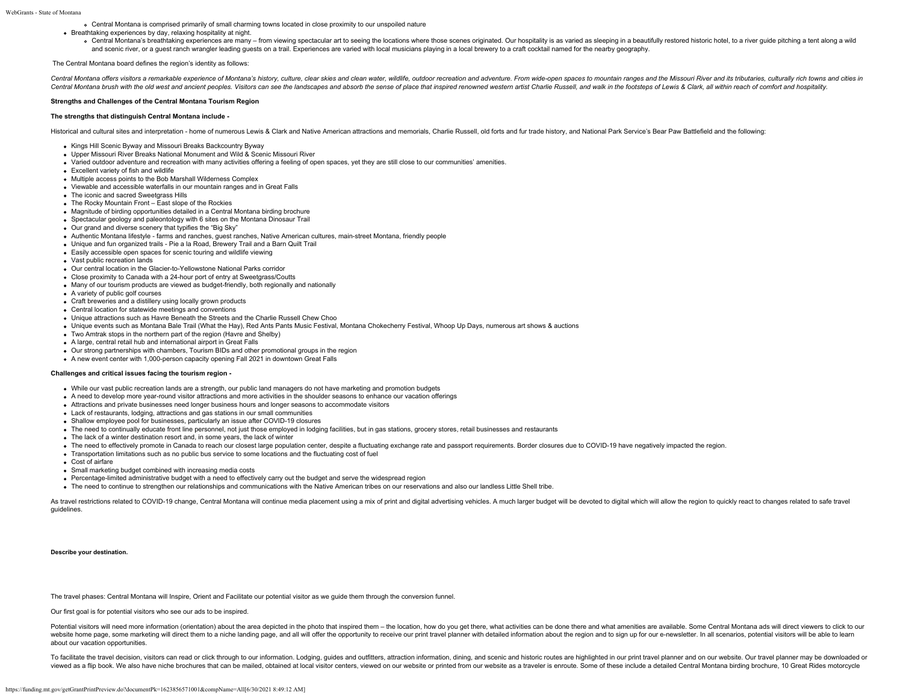Central Montana is comprised primarily of small charming towns located in close proximity to our unspoiled nature

Breathtaking experiences by day, relaxing hospitality at night.

o Central Montana's breathtaking experiences are many - from viewing spectacular art to seeing the locations where those scenes originated. Our hospitality is as varied as sleeping in a beautifully restored historic hotel, and scenic river, or a guest ranch wrangler leading guests on a trail. Experiences are varied with local musicians playing in a local brewery to a craft cocktail named for the nearby geography.

#### The Central Montana board defines the region's identity as follows:

Central Montana offers visitors a remarkable experience of Montana's history, culture, clear skies and clean water, wildlife, outdoor recreation and adventure. From wide-open spaces to mountain ranges and the Missouri Rive Central Montana brush with the old west and ancient peoples. Visitors can see the landscapes and absorb the sense of place that inspired renowned western artist Charlie Russell, and walk in the footsteps of Lewis & Clark,

#### **Strengths and Challenges of the Central Montana Tourism Region**

## **The strengths that distinguish Central Montana include -**

Historical and cultural sites and interpretation - home of numerous Lewis & Clark and Native American attractions and memorials, Charlie Russell, old forts and fur trade history, and National Park Service's Bear Paw Battle

- Kings Hill Scenic Byway and Missouri Breaks Backcountry Byway
- Upper Missouri River Breaks National Monument and Wild & Scenic Missouri River
- Varied outdoor adventure and recreation with many activities offering a feeling of open spaces, yet they are still close to our communities' amenities.
- Excellent variety of fish and wildlife
- Multiple access points to the Bob Marshall Wilderness Complex
- Viewable and accessible waterfalls in our mountain ranges and in Great Falls
- The iconic and sacred Sweetgrass Hills
- The Rocky Mountain Front East slope of the Rockies
- Magnitude of birding opportunities detailed in a Central Montana birding brochure
- Spectacular geology and paleontology with 6 sites on the Montana Dinosaur Trail
- Our grand and diverse scenery that typifies the "Big Sky"
- Authentic Montana lifestyle farms and ranches, guest ranches, Native American cultures, main-street Montana, friendly people
- Unique and fun organized trails Pie a la Road, Brewery Trail and a Barn Quilt Trail
- Easily accessible open spaces for scenic touring and wildlife viewing
- Vast public recreation lands
- Our central location in the Glacier-to-Yellowstone National Parks corridor
- Close proximity to Canada with a 24-hour port of entry at Sweetgrass/Coutts
- Many of our tourism products are viewed as budget-friendly, both regionally and nationally
- A variety of public golf courses
- Craft breweries and a distillery using locally grown products
- Central location for statewide meetings and conventions
- Unique attractions such as Havre Beneath the Streets and the Charlie Russell Chew Choo
- Unique events such as Montana Bale Trail (What the Hay), Red Ants Pants Music Festival, Montana Chokecherry Festival, Whoop Up Days, numerous art shows & auctions
- Two Amtrak stops in the northern part of the region (Havre and Shelby)
- A large, central retail hub and international airport in Great Falls
- Our strong partnerships with chambers, Tourism BIDs and other promotional groups in the region
- A new event center with 1,000-person capacity opening Fall 2021 in downtown Great Falls

#### **Challenges and critical issues facing the tourism region -**

- While our vast public recreation lands are a strength, our public land managers do not have marketing and promotion budgets
- A need to develop more year-round visitor attractions and more activities in the shoulder seasons to enhance our vacation offerings
- Attractions and private businesses need longer business hours and longer seasons to accommodate visitors
- Lack of restaurants, lodging, attractions and gas stations in our small communities
- Shallow employee pool for businesses, particularly an issue after COVID-19 closures
- The need to continually educate front line personnel, not just those employed in lodging facilities, but in gas stations, grocery stores, retail businesses and restaurants
- The lack of a winter destination resort and, in some years, the lack of winter
- The need to effectively promote in Canada to reach our closest large population center, despite a fluctuating exchange rate and passport requirements. Border closures due to COVID-19 have negatively impacted the region.
- Transportation limitations such as no public bus service to some locations and the fluctuating cost of fuel
- Cost of airfare
- Small marketing budget combined with increasing media costs
- Percentage-limited administrative budget with a need to effectively carry out the budget and serve the widespread region
- The need to continue to strengthen our relationships and communications with the Native American tribes on our reservations and also our landless Little Shell tribe.

As travel restrictions related to COVID-19 change, Central Montana will continue media placement using a mix of print and digital advertising vehicles. A much larger budget will be devoted to digital which will allow the r guidelines.

#### **Describe your destination.**

The travel phases: Central Montana will Inspire, Orient and Facilitate our potential visitor as we guide them through the conversion funnel.

Our first goal is for potential visitors who see our ads to be inspired.

Potential visitors will need more information (orientation) about the area depicted in the photo that inspired them - the location, how do you get there, what activities can be done there and what amenities are available. website home page, some marketing will direct them to a niche landing page, and all will offer the opportunity to receive our print travel planner with detailed information about the region and to sign up for our e-newslet about our vacation opportunities.

To facilitate the travel decision, visitors can read or click through to our information. Lodging, quides and outfitters, attraction information, dining, and scenic and historic routes are highlighted in our print travel p viewed as a flip book. We also have niche brochures that can be mailed, obtained at local visitor centers, viewed on our website or printed from our website as a traveler is enroute. Some of these include a detailed Centra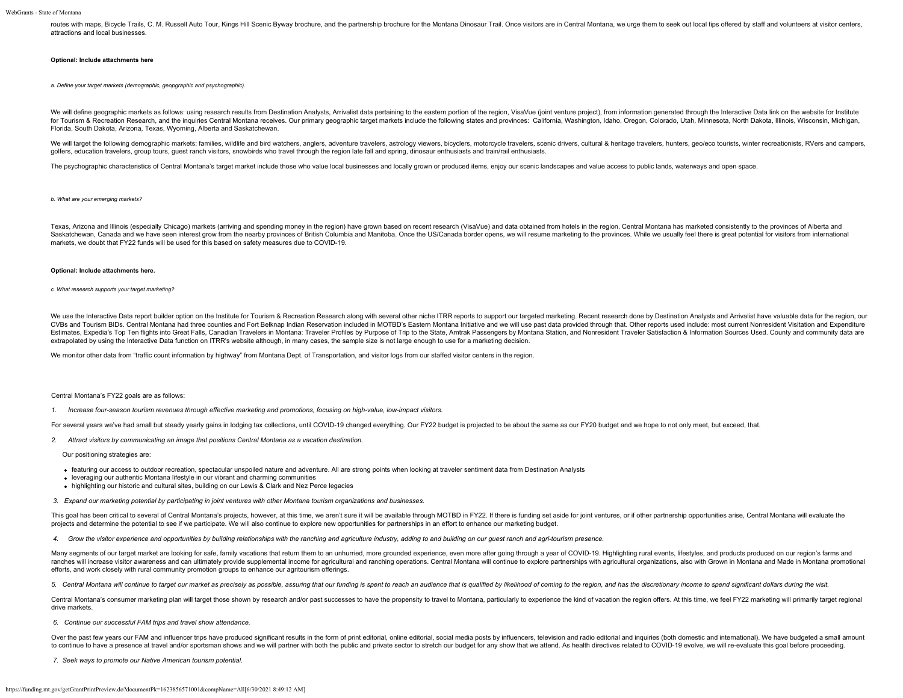routes with maps. Bicycle Trails, C. M. Russell Auto Tour. Kings Hill Scenic Byway brochure, and the partnership brochure for the Montana Dinosaur Trail. Once visitors are in Central Montana, we urge them to seek out local attractions and local businesses.

#### **Optional: Include attachments here**

*a. Define your target markets (demographic, geopgraphic and psychographic).*

We will define geographic markets as follows: using research results from Destination Analysts, Arrivalist data pertaining to the eastern portion of the region, VisaVue (joint venture project), from information generated t for Tourism & Recreation Research, and the inquiries Central Montana receives. Our primary geographic target markets include the following states and provinces: California, Washington, Idaho, Oregon, Colorado, Utah, Minnes Florida, South Dakota, Arizona, Texas, Wyoming, Alberta and Saskatchewan.

We will target the following demographic markets: families, wildlife and bird watchers, anglers, adventure travelers, astrology viewers, bicyclers, motorcycle travelers, scenic drivers, scultural & heritage travelers, hunt golfers, education travelers, group tours, quest ranch visitors, snowbirds who travel through the region late fall and spring, dinosaur enthusiasts and train/rail enthusiasts.

The psychographic characteristics of Central Montana's target market include those who value local businesses and locally grown or produced items, enjoy our scenic landscapes and value access to public lands, waterways and

#### *b. What are your emerging markets?*

Texas, Arizona and Illinois (especially Chicago) markets (arriving and spending money in the region) have grown based on recent research (VisaVue) and data obtained from hotels in the region. Central Montana has marketed c Saskatchewan, Canada and we have seen interest grow from the nearby provinces of British Columbia and Manitoba. Once the US/Canada border opens, we will resume marketing to the provinces. While we usually feel there is gre markets, we doubt that FY22 funds will be used for this based on safety measures due to COVID-19.

#### **Optional: Include attachments here.**

*c. What research supports your target marketing?*

We use the Interactive Data report builder option on the Institute for Tourism & Recreation Research along with several other niche ITRR reports to support our targeted marketing. Recent research done by Destination Analys CVBs and Tourism BIDs. Central Montana had three counties and Fort Belknap Indian Reservation included in MOTBD's Eastern Montana Initiative and we will use past data provided through that. Other reports used include: most Estimates, Expedia's Top Ten flights into Great Falls, Canadian Travelers in Montana: Traveler Profiles by Purpose of Trip to the State, Amtrak Passengers by Montana Station, and Nonresident Traveler Satisfaction & Informa extrapolated by using the Interactive Data function on ITRR's website although, in many cases, the sample size is not large enough to use for a marketing decision.

We monitor other data from "traffic count information by highway" from Montana Dept. of Transportation, and visitor logs from our staffed visitor centers in the region

#### Central Montana's FY22 goals are as follows:

*1. Increase four-season tourism revenues through effective marketing and promotions, focusing on high-value, low-impact visitors.*

For several years we've had small but steady yearly gains in lodging tax collections, until COVID-19 changed everything. Our FY22 budget is projected to be about the same as our FY20 budget and we hope to not only meet, bu

*2. Attract visitors by communicating an image that positions Central Montana as a vacation destination.*

Our positioning strategies are:

- featuring our access to outdoor recreation, spectacular unspoiled nature and adventure. All are strong points when looking at traveler sentiment data from Destination Analysts
- leveraging our authentic Montana lifestyle in our vibrant and charming communities
- highlighting our historic and cultural sites, building on our Lewis & Clark and Nez Perce legacies
- *3. Expand our marketing potential by participating in joint ventures with other Montana tourism organizations and businesses.*

This goal has been critical to several of Central Montana's projects, however, at this time, we aren't sure it will be available through MOTBD in FY22. If there is funding set aside for joint ventures, or if other partners projects and determine the potential to see if we participate. We will also continue to explore new opportunities for partnerships in an effort to enhance our marketing budget.

*4. Grow the visitor experience and opportunities by building relationships with the ranching and agriculture industry, adding to and building on our guest ranch and agri-tourism presence.*

Many segments of our target market are looking for safe, family vacations that return them to an unhurried, more grounded experience, even more after going through a year of COVID-19. Highlighting rural events, lifestyles, ranches will increase visitor awareness and can ultimately provide supplemental income for agricultural and ranching operations. Central Montana will continue to explore partnerships with agricultural organizations, also w efforts, and work closely with rural community promotion groups to enhance our agritourism offerings.

5. Central Montana will continue to target our market as precisely as possible, assuring that our funding is spent to reach an audience that is qualified by likelihood of coming to the region, and has the discretionary inc

Central Montana's consumer marketing plan will target those shown by research and/or past successes to have the propensity to travel to Montana, particularly to experience the kind of vacation the region offers. At this ti drive markets.

#### *6. Continue our successful FAM trips and travel show attendance.*

Over the past few years our FAM and influencer trips have produced significant results in the form of print editorial, online editorial, social media posts by influencers, television and radio editorial and inquiries (both to continue to have a presence at travel and/or sportsman shows and we will partner with both the public and private sector to stretch our budget for any show that we attend. As health directives related to COVID-19 evolve

*7. Seek ways to promote our Native American tourism potential.*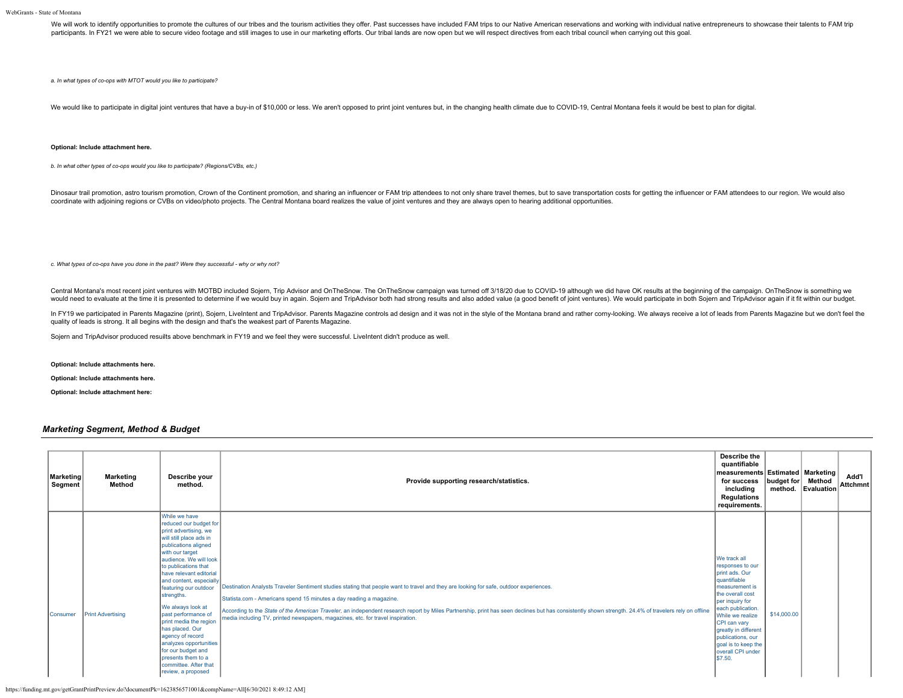We will work to identify opportunities to promote the cultures of our tribes and the tourism activities they offer. Past successes have included FAM trips to our Native American reservations and working with individual nat participants. In FY21 we were able to secure video footage and still images to use in our marketing efforts. Our tribal lands are now open but we will respect directives from each tribal council when carrying out this goal

*a. In what types of co-ops with MTOT would you like to participate?*

We would like to participate in digital joint ventures that have a buy-in of \$10,000 or less. We aren't opposed to print joint ventures but, in the changing health climate due to COVID-19, Central Montana feels it would be

## **Optional: Include attachment here.**

*b. In what other types of co-ops would you like to participate? (Regions/CVBs, etc.)*

Dinosaur trail promotion, astro tourism promotion, Crown of the Continent promotion, and sharing an influencer or FAM trip attendees to not only share travel themes, but to save transportation costs for getting the influen coordinate with adjoining regions or CVBs on video/photo projects. The Central Montana board realizes the value of joint ventures and they are always open to hearing additional opportunities.

*c. What types of co-ops have you done in the past? Were they successful - why or why not?*

Central Montana's most recent joint ventures with MOTBD included Sojern, Trip Advisor and OnTheSnow. The OnTheSnow campaign was turned off 3/18/20 due to COVID-19 although we did have OK results at the beginning of the cam would need to evaluate at the time it is presented to determine if we would buy in again. Sojern and TripAdvisor both had strong results and also added value (a good benefit of joint ventures). We would participate in both

In FY19 we participated in Parents Magazine (print), Sojern, Livelntent and TripAdvisor. Parents Magazine controls ad design and it was not in the style of the Montana brand and rather comy-looking. We always receive a lot quality of leads is strong. It all begins with the design and that's the weakest part of Parents Magazine.

Sojern and TripAdvisor produced resuilts above benchmark in FY19 and we feel they were successful. LiveIntent didn't produce as well.

**Optional: Include attachments here.**

**Optional: Include attachments here.**

**Optional: Include attachment here:**

### *Marketing Segment, Method & Budget*

| Marketing<br>Segment | Marketing<br>Method      | Describe your<br>method.                                                                                                                                                                                                                                                                                                                                                                                                                                                                                                | Provide supporting research/statistics.                                                                                                                                                                                                                                                                                                                                                                                                                                                                   | Describe the<br>quantifiable<br>measurements Estimated   Marketing  <br>for success<br>including<br>Regulations<br>requirements.                                                                                                                                                         | budget for  | Method<br>method. Evaluation | Add'l<br>Attchmnt |
|----------------------|--------------------------|-------------------------------------------------------------------------------------------------------------------------------------------------------------------------------------------------------------------------------------------------------------------------------------------------------------------------------------------------------------------------------------------------------------------------------------------------------------------------------------------------------------------------|-----------------------------------------------------------------------------------------------------------------------------------------------------------------------------------------------------------------------------------------------------------------------------------------------------------------------------------------------------------------------------------------------------------------------------------------------------------------------------------------------------------|------------------------------------------------------------------------------------------------------------------------------------------------------------------------------------------------------------------------------------------------------------------------------------------|-------------|------------------------------|-------------------|
| <b>Consumer</b>      | <b>Print Advertising</b> | While we have<br>reduced our budget for<br>print advertising, we<br>will still place ads in<br>publications aligned<br>with our target<br>audience. We will look<br>to publications that<br>have relevant editorial<br>and content, especially<br>featuring our outdoor<br>strengths.<br>We always look at<br>past performance of<br>print media the region<br>has placed. Our<br>agency of record<br>analyzes opportunities<br>for our budget and<br>presents them to a<br>committee. After that<br>review, a proposed | Destination Analysts Traveler Sentiment studies stating that people want to travel and they are looking for safe, outdoor experiences.<br>Statista.com - Americans spend 15 minutes a day reading a magazine.<br>According to the State of the American Traveler, an independent research report by Miles Partnership, print has seen declines but has consistently shown strength. 24.4% of travelers rely on offline<br>media including TV, printed newspapers, magazines, etc. for travel inspiration. | We track all<br>responses to our<br>print ads, Our<br>quantifiable<br>measurement is<br>the overall cost<br>per inquiry for<br>each publication.<br>While we realize<br>CPI can vary<br>greatly in different<br>publications, our<br>goal is to keep the<br>overall CPI under<br>\$7.50. | \$14,000.00 |                              |                   |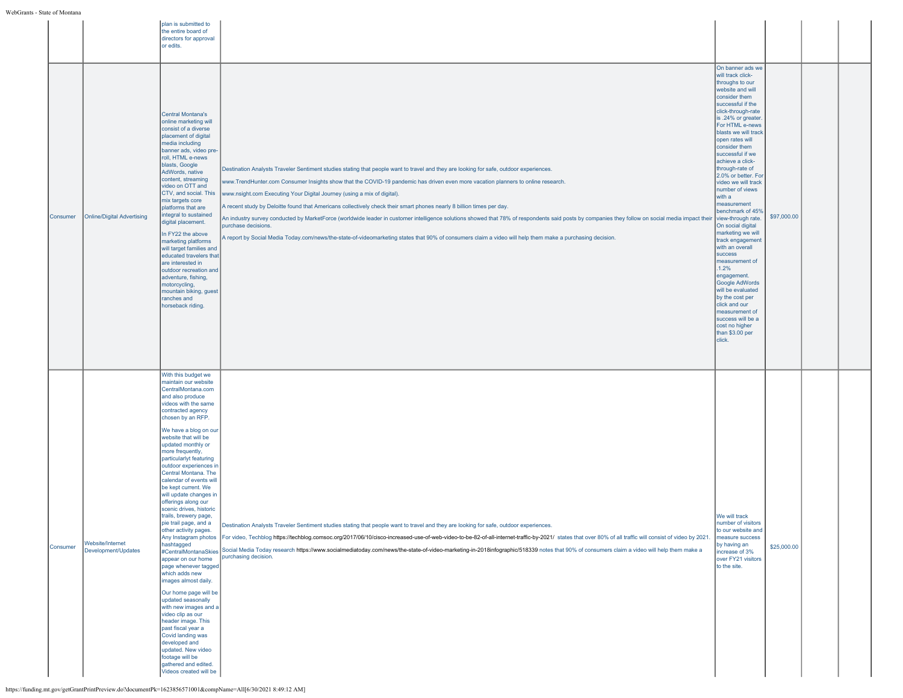| Consumer | Online/Digital Advertising              | plan is submitted to<br>the entire board of<br>directors for approval<br>or edits.<br><b>Central Montana's</b><br>online marketing will<br>consist of a diverse<br>placement of digital<br>media including<br>banner ads, video pre-<br>roll, HTML e-news<br>blasts, Google<br>AdWords, native<br>content, streaming<br>video on OTT and<br>CTV, and social. This<br>mix targets core<br>platforms that are<br>integral to sustained<br>digital placement.<br>In FY22 the above<br>marketing platforms<br>will target families and<br>educated travelers that<br>are interested in<br>outdoor recreation and<br>adventure, fishing,<br>motorcycling,<br>mountain biking, guest<br>ranches and<br>horseback riding.                                                                                                                                                                                                                               | Destination Analysts Traveler Sentiment studies stating that people want to travel and they are looking for safe, outdoor experiences.<br>www.TrendHunter.com Consumer Insights show that the COVID-19 pandemic has driven even more vacation planners to online research.<br>www.nsight.com Executing Your Digital Journey (using a mix of digital).<br>A recent study by Deloitte found that Americans collectively check their smart phones nearly 8 billion times per day.<br>An industry survey conducted by MarketForce (worldwide leader in customer intelligence solutions showed that 78% of respondents said posts by companies they follow on social media impact their<br>purchase decisions.<br>A report by Social Media Today.com/news/the-state-of-videomarketing states that 90% of consumers claim a video will help them make a purchasing decision. | On banner ads we<br>will track click-<br>throughs to our<br>website and will<br>consider them<br>successful if the<br>click-through-rate<br>is .24% or greater.<br>For HTML e-news<br>blasts we will track<br>open rates will<br>consider them<br>successful if we<br>achieve a click-<br>through-rate of<br>2.0% or better. For<br>video we will track<br>number of views<br>with a<br>measurement<br>benchmark of 45%<br>view-through rate.<br>On social digital<br>marketing we will<br>track engagement<br>with an overall<br>success<br>measurement of<br>.1.2%<br>engagement.<br>Google AdWords<br>will be evaluated<br>by the cost per<br>click and our<br>measurement of<br>success will be a<br>cost no higher<br>than \$3.00 per<br>click. | \$97,000.00 |  |
|----------|-----------------------------------------|--------------------------------------------------------------------------------------------------------------------------------------------------------------------------------------------------------------------------------------------------------------------------------------------------------------------------------------------------------------------------------------------------------------------------------------------------------------------------------------------------------------------------------------------------------------------------------------------------------------------------------------------------------------------------------------------------------------------------------------------------------------------------------------------------------------------------------------------------------------------------------------------------------------------------------------------------|------------------------------------------------------------------------------------------------------------------------------------------------------------------------------------------------------------------------------------------------------------------------------------------------------------------------------------------------------------------------------------------------------------------------------------------------------------------------------------------------------------------------------------------------------------------------------------------------------------------------------------------------------------------------------------------------------------------------------------------------------------------------------------------------------------------------------------------------------------------------|------------------------------------------------------------------------------------------------------------------------------------------------------------------------------------------------------------------------------------------------------------------------------------------------------------------------------------------------------------------------------------------------------------------------------------------------------------------------------------------------------------------------------------------------------------------------------------------------------------------------------------------------------------------------------------------------------------------------------------------------------|-------------|--|
| Consumer | Website/Internet<br>Development/Updates | With this budget we<br>maintain our website<br>CentralMontana.com<br>and also produce<br>videos with the same<br>contracted agency<br>chosen by an RFP.<br>We have a blog on our<br>website that will be<br>updated monthly or<br>more frequently,<br>particularlyt featuring<br>outdoor experiences in<br>Central Montana. The<br>calendar of events will<br>be kept current. We<br>will update changes in<br>offerings along our<br>scenic drives, historic<br>trails, brewery page,<br>pie trail page, and a<br>other activity pages.<br>hashtagged<br>#CentralMontanaSkies<br>appear on our home<br>page whenever tagged<br>which adds new<br>images almost daily.<br>Our home page will be<br>updated seasonally<br>with new images and a<br>video clip as our<br>header image. This<br>past fiscal year a<br>Covid landing was<br>developed and<br>updated. New video<br>footage will be<br>gathered and edited.<br>Videos created will be | Destination Analysts Traveler Sentiment studies stating that people want to travel and they are looking for safe, outdoor experiences.<br>Any Instagram photos For video, Techblog https://techblog.comsoc.org/2017/06/10/cisco-increased-use-of-web-video-to-be-82-of-all-internet-traffic-by-2021/ states that over 80% of all traffic will consist of video by 2021.<br>Social Media Today research https://www.socialmediatoday.com/news/the-state-of-video-marketing-in-2018infographic/518339 notes that 90% of consumers claim a video will help them make a<br>purchasing decision.                                                                                                                                                                                                                                                                            | We will track<br>number of visitors<br>to our website and<br>measure success<br>by having an<br>increase of 3%<br>over FY21 visitors<br>to the site.                                                                                                                                                                                                                                                                                                                                                                                                                                                                                                                                                                                                 | \$25,000.00 |  |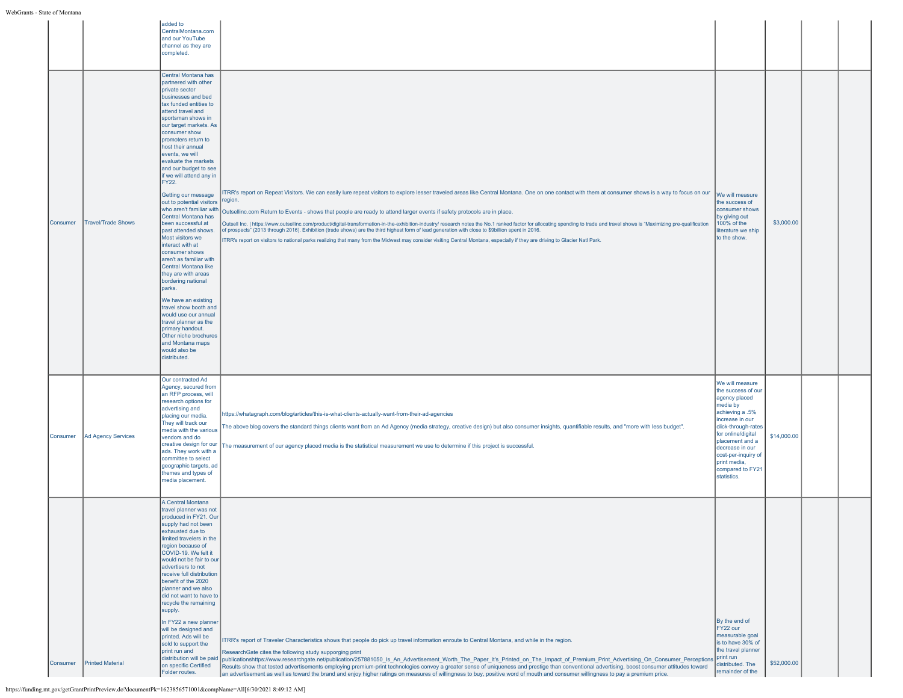WebGrants -

| - State of Montana |                           |                                                                                                                                                                                                                                                                                                                                                                                                                                                                                                                                                                                                                                                                                                                                                                                                                                                                                      |                                                                                                                                                                                                                                                                                                                                                                                                                                                                                                                                                                                                                                                                                                                                                                                                                                                                                                               |                                                                                                                                                                                                                                                                       |             |  |
|--------------------|---------------------------|--------------------------------------------------------------------------------------------------------------------------------------------------------------------------------------------------------------------------------------------------------------------------------------------------------------------------------------------------------------------------------------------------------------------------------------------------------------------------------------------------------------------------------------------------------------------------------------------------------------------------------------------------------------------------------------------------------------------------------------------------------------------------------------------------------------------------------------------------------------------------------------|---------------------------------------------------------------------------------------------------------------------------------------------------------------------------------------------------------------------------------------------------------------------------------------------------------------------------------------------------------------------------------------------------------------------------------------------------------------------------------------------------------------------------------------------------------------------------------------------------------------------------------------------------------------------------------------------------------------------------------------------------------------------------------------------------------------------------------------------------------------------------------------------------------------|-----------------------------------------------------------------------------------------------------------------------------------------------------------------------------------------------------------------------------------------------------------------------|-------------|--|
|                    |                           | added to<br>CentralMontana.com<br>and our YouTube<br>channel as they are<br>completed.                                                                                                                                                                                                                                                                                                                                                                                                                                                                                                                                                                                                                                                                                                                                                                                               |                                                                                                                                                                                                                                                                                                                                                                                                                                                                                                                                                                                                                                                                                                                                                                                                                                                                                                               |                                                                                                                                                                                                                                                                       |             |  |
| Consumer           | <b>Travel/Trade Shows</b> | Central Montana has<br>partnered with other<br>private sector<br>businesses and bed<br>tax funded entities to<br>attend travel and<br>sportsman shows in<br>our target markets. As<br>consumer show<br>promoters return to<br>host their annual<br>events, we will<br>evaluate the markets<br>and our budget to see<br>if we will attend any in<br>FY22.<br>Getting our message<br>out to potential visitors<br>who aren't familiar with<br>Central Montana has<br>been successful at<br>past attended shows.<br>Most visitors we<br>interact with at<br>consumer shows<br>aren't as familiar with<br>Central Montana like<br>they are with areas<br>bordering national<br>parks.<br>We have an existing<br>travel show booth and<br>would use our annual<br>travel planner as the<br>primary handout.<br>Other niche brochures<br>and Montana maps<br>would also be<br>distributed. | ITRR's report on Repeat Visitors. We can easily lure repeat visitors to explore lesser traveled areas like Central Montana. One on one contact with them at consumer shows is a way to focus on our<br>egion.<br>Outsellinc.com Return to Events - shows that people are ready to attend larger events if safety protocols are in place.<br>Outsell Inc.   https://www.outsellinc.com/product/digital-transformation-in-the-exhibition-industry/ research notes the No.1 ranked factor for allocating spending to trade and travel shows is "Maximizing pre-qualification<br>of prospects" (2013 through 2016). Exhibition (trade shows) are the third highest form of lead generation with close to \$9billion spent in 2016.<br>TRR's report on visitors to national parks realizing that many from the Midwest may consider visiting Central Montana, especially if they are driving to Glacier Natl Park. | We will measure<br>the success of<br>consumer shows<br>by giving out<br>100% of the<br>literature we ship<br>to the show.                                                                                                                                             | \$3,000.00  |  |
| Consumer           | Ad Agency Services        | Our contracted Ad<br>Agency, secured from<br>an RFP process, will<br>research options for<br>advertising and<br>placing our media.<br>They will track our<br>media with the various<br>vendors and do<br>creative design for our<br>ads. They work with a<br>committee to select<br>geographic targets, ad<br>themes and types of<br>media placement.                                                                                                                                                                                                                                                                                                                                                                                                                                                                                                                                | https://whatagraph.com/blog/articles/this-is-what-clients-actually-want-from-their-ad-agencies<br>The above blog covers the standard things clients want from an Ad Agency (media strategy, creative design) but also consumer insights, quantifiable results, and "more with less budget".<br>The measurement of our agency placed media is the statistical measurement we use to determine if this project is successful.                                                                                                                                                                                                                                                                                                                                                                                                                                                                                   | We will measure<br>the success of our<br>agency placed<br>media by<br>achieving a .5%<br>increase in our<br>click-through-rates<br>for online/digital<br>placement and a<br>decrease in our<br>cost-per-inquiry of<br>print media,<br>compared to FY21<br>statistics. | \$14,000.00 |  |
| Consumer           | <b>Printed Material</b>   | A Central Montana<br>travel planner was not<br>produced in FY21. Our<br>supply had not been<br>exhausted due to<br>limited travelers in the<br>region because of<br>COVID-19. We felt it<br>would not be fair to our<br>advertisers to not<br>receive full distribution<br>benefit of the 2020<br>planner and we also<br>did not want to have to<br>recycle the remaining<br>supply.<br>In FY22 a new planner<br>will be designed and<br>printed. Ads will be<br>sold to support the<br>print run and<br>on specific Certified<br>Folder routes.                                                                                                                                                                                                                                                                                                                                     | ITRR's report of Traveler Characteristics shows that people do pick up travel information enroute to Central Montana, and while in the region.<br>ResearchGate cites the following study supporging print<br>distribution will be paid  publicationshttps://www.researchgate.net/publication/257881050_Is_An_Advertisement_Worth_The_Paper_It's_Printed_on_The_Impact_of_Premium_Print_Advertising_On_Consumer_Perceptions<br>Results show that tested advertisements employing premium-print technologies convey a greater sense of uniqueness and prestige than conventional advertising, boost consumer attitudes toward<br>an advertisement as well as toward the brand and enjoy higher ratings on measures of willingness to buy, positive word of mouth and consumer willingness to pay a premium price.                                                                                               | By the end of<br>FY22 our<br>measurable goal<br>is to have 30% of<br>the travel planner<br>print run<br>distributed. The<br>remainder of the                                                                                                                          | \$52,000.00 |  |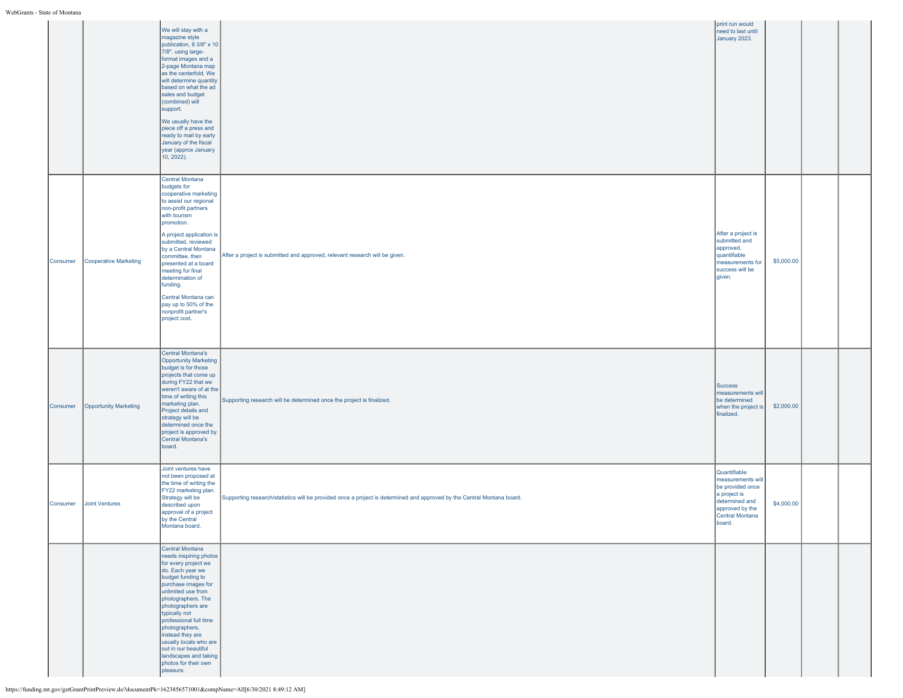WebGrants - State of Montana

|          |                       | We will stay with a<br>magazine style<br>publication, 8 3/8" x 10<br>7/8". using large-<br>format images and a<br>2-page Montana map<br>as the centerfold. We<br>will determine quantity<br>based on what the ad<br>sales and budget<br>(combined) will<br>support.<br>We usually have the<br>piece off a press and<br>ready to mail by early<br>January of the fiscal<br>year (approx January<br>10, 2022). |                                                                                                                         | print run would<br>need to last until<br>January 2023.                                                                                  |            |  |
|----------|-----------------------|--------------------------------------------------------------------------------------------------------------------------------------------------------------------------------------------------------------------------------------------------------------------------------------------------------------------------------------------------------------------------------------------------------------|-------------------------------------------------------------------------------------------------------------------------|-----------------------------------------------------------------------------------------------------------------------------------------|------------|--|
| Consumer | Cooperative Marketing | Central Montana<br>budgets for<br>cooperative marketing<br>to assist our regional<br>non-profit partners<br>with tourism<br>promotion.<br>A project application is<br>submitted, reviewed<br>by a Central Montana<br>committee, then<br>presented at a board<br>meeting for final<br>determination of<br>funding.<br>Central Montana can<br>pay up to 50% of the<br>nonprofit partner's<br>project cost.     | After a project is submitted and approved, relevant research will be given.                                             | After a project is<br>submitted and<br>approved,<br>quantifiable<br>measurements for<br>success will be<br>given.                       | \$5,000.00 |  |
| Consumer | Opportunity Marketing | Central Montana's<br>Opportunity Marketing<br>budget is for those<br>projects that come up<br>during FY22 that we<br>weren't aware of at the<br>time of writing this<br>marketing plan.<br>Project details and<br>strategy will be<br>determined once the<br>project is approved by<br>Central Montana's<br>board.                                                                                           | Supporting research will be determined once the project is finalized.                                                   | <b>Success</b><br>measurements will<br>be determined<br>when the project is<br>finalized.                                               | \$2,000.00 |  |
| Consumer | Joint Ventures        | Joint ventures have<br>not been proposed at<br>the time of writing the<br>FY22 marketing plan.<br>Strategy will be<br>described upon<br>approval of a project<br>by the Central<br>Montana board.                                                                                                                                                                                                            | Supporting research/statistics will be provided once a project is determined and approved by the Central Montana board. | Quantifiable<br>measurements will<br>be provided once<br>a project is<br>determined and<br>approved by the<br>Central Montana<br>board. | \$4,000.00 |  |
|          |                       | Central Montana<br>needs inspiring photos<br>for every project we<br>do. Each year we<br>budget funding to<br>purchase images for<br>unlimited use from<br>photographers. The<br>photographers are<br>typically not<br>professional full time<br>photographers,<br>instead they are<br>usually locals who are<br>out in our beautiful<br>landscapes and taking<br>photos for their own<br>pleasure.          |                                                                                                                         |                                                                                                                                         |            |  |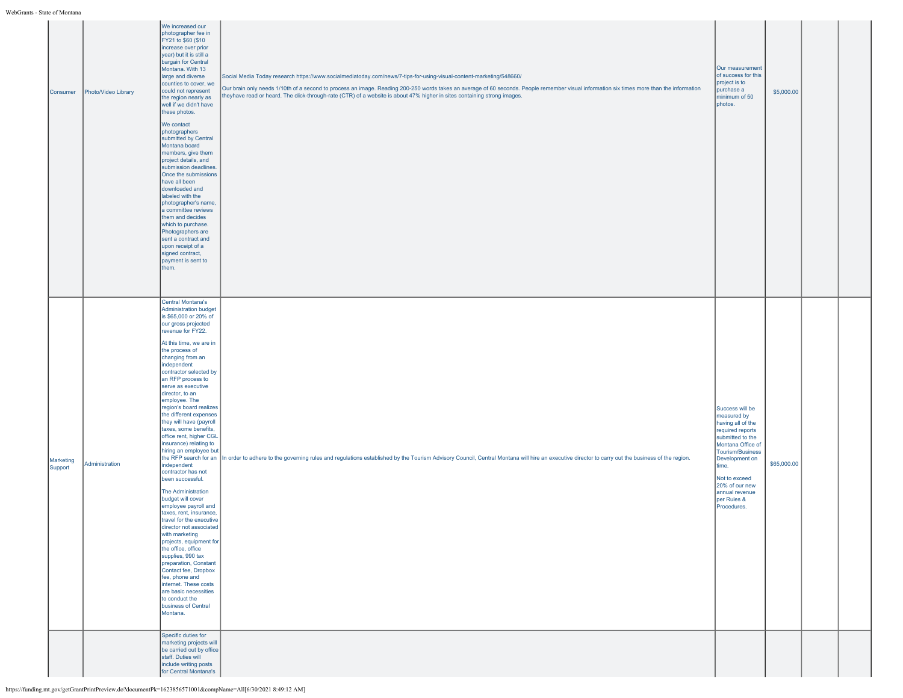| Consumer             | Photo/Video Library | We increased our<br>photographer fee in<br>FY21 to \$60 (\$10<br>increase over prior<br>year) but it is still a<br>bargain for Central<br>Montana. With 13<br>large and diverse<br>counties to cover, we<br>could not represent<br>the region nearly as<br>well if we didn't have<br>these photos.<br>We contact<br>photographers<br>submitted by Central<br>Montana board<br>members, give them<br>project details, and<br>submission deadlines.<br>Once the submissions<br>have all been<br>downloaded and<br>labeled with the<br>photographer's name,<br>a committee reviews<br>them and decides<br>which to purchase.<br>Photographers are<br>sent a contract and<br>upon receipt of a<br>signed contract,<br>payment is sent to<br>them.<br>Central Montana's                                                                                                                                                                                                                        | Social Media Today research https://www.socialmediatoday.com/news/7-tips-for-using-visual-content-marketing/548660/<br>Our brain only needs 1/10th of a second to process an image. Reading 200-250 words takes an average of 60 seconds. People remember visual information six times more than the information<br>heyhave read or heard. The click-through-rate (CTR) of a website is about 47% higher in sites containing strong images. | Our measurement<br>of success for this<br>project is to<br>purchase a<br>minimum of 50<br>photos.                                                                                                                                                  | \$5,000.00  |  |
|----------------------|---------------------|-------------------------------------------------------------------------------------------------------------------------------------------------------------------------------------------------------------------------------------------------------------------------------------------------------------------------------------------------------------------------------------------------------------------------------------------------------------------------------------------------------------------------------------------------------------------------------------------------------------------------------------------------------------------------------------------------------------------------------------------------------------------------------------------------------------------------------------------------------------------------------------------------------------------------------------------------------------------------------------------|---------------------------------------------------------------------------------------------------------------------------------------------------------------------------------------------------------------------------------------------------------------------------------------------------------------------------------------------------------------------------------------------------------------------------------------------|----------------------------------------------------------------------------------------------------------------------------------------------------------------------------------------------------------------------------------------------------|-------------|--|
| Marketing<br>Support | Administration      | Administration budget<br>is \$65,000 or 20% of<br>our gross projected<br>revenue for FY22.<br>At this time, we are in<br>the process of<br>changing from an<br>independent<br>contractor selected by<br>an RFP process to<br>serve as executive<br>director, to an<br>employee. The<br>region's board realizes<br>the different expenses<br>they will have (payroll<br>taxes, some benefits,<br>office rent, higher CGL<br>insurance) relating to<br>hiring an employee but<br>independent<br>contractor has not<br>been successful.<br><b>The Administration</b><br>budget will cover<br>employee payroll and<br>taxes, rent, insurance,<br>travel for the executive<br>director not associated<br>with marketing<br>projects, equipment for<br>the office, office<br>supplies, 990 tax<br>preparation, Constant<br>Contact fee, Dropbox<br>fee, phone and<br>internet. These costs<br>are basic necessities<br>to conduct the<br>business of Central<br>Montana.<br>Specific duties for | the RFP search for an In order to adhere to the governing rules and regulations established by the Tourism Advisory Council, Central Montana will hire an executive director to carry out the business of the region.                                                                                                                                                                                                                       | Success will be<br>measured by<br>having all of the<br>required reports<br>submitted to the<br>Montana Office of<br>Tourism/Business<br>Development on<br>time.<br>Not to exceed<br>20% of our new<br>annual revenue<br>per Rules &<br>Procedures. | \$65,000.00 |  |
|                      |                     | marketing projects will<br>be carried out by office<br>staff. Duties will<br>include writing posts<br>for Central Montana's                                                                                                                                                                                                                                                                                                                                                                                                                                                                                                                                                                                                                                                                                                                                                                                                                                                               |                                                                                                                                                                                                                                                                                                                                                                                                                                             |                                                                                                                                                                                                                                                    |             |  |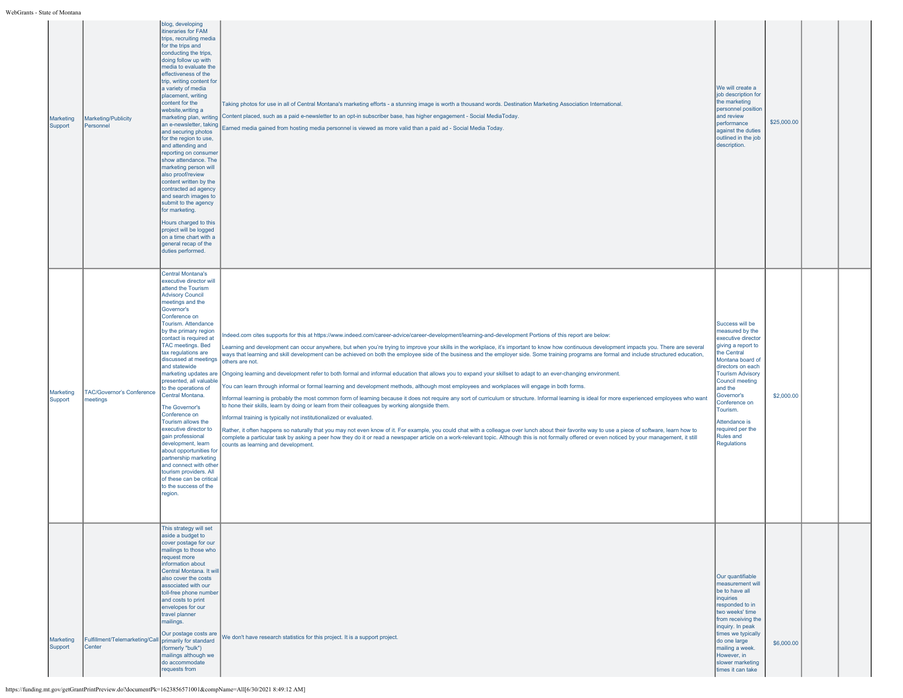| Marketing<br>Support | Marketing/Publicity<br>Personnel                                | blog, developing<br>itineraries for FAM<br>trips, recruiting media<br>for the trips and<br>conducting the trips,<br>doing follow up with<br>media to evaluate the<br>effectiveness of the<br>trip, writing content for<br>a variety of media<br>placement, writing<br>content for the<br>website, writing a<br>an e-newsletter, taking<br>and securing photos<br>for the region to use,<br>and attending and<br>reporting on consumer<br>show attendance. The<br>marketing person will<br>also proof/review<br>content written by the<br>contracted ad agency<br>and search images to<br>submit to the agency<br>for marketing.<br>Hours charged to this<br>project will be logged<br>on a time chart with a<br>general recap of the<br>duties performed. | Taking photos for use in all of Central Montana's marketing efforts - a stunning image is worth a thousand words. Destination Marketing Association International.<br>marketing plan, writing Content placed, such as a paid e-newsletter to an opt-in subscriber base, has higher engagement - Social MediaToday.<br>Earned media gained from hosting media personnel is viewed as more valid than a paid ad - Social Media Today.                                                                                                                                                                                                                                                                                                                                                                                                                                                                                                                                                                                                                                                                                                                                                                                                                                                                                                                                                                                                                                                                                                                                                                                                                                                                                                                     | We will create a<br>job description for<br>the marketing<br>personnel position<br>and review<br>performance<br>against the duties<br>outlined in the job<br>description.                                                                                                                                    | \$25,000.00 |  |
|----------------------|-----------------------------------------------------------------|-----------------------------------------------------------------------------------------------------------------------------------------------------------------------------------------------------------------------------------------------------------------------------------------------------------------------------------------------------------------------------------------------------------------------------------------------------------------------------------------------------------------------------------------------------------------------------------------------------------------------------------------------------------------------------------------------------------------------------------------------------------|---------------------------------------------------------------------------------------------------------------------------------------------------------------------------------------------------------------------------------------------------------------------------------------------------------------------------------------------------------------------------------------------------------------------------------------------------------------------------------------------------------------------------------------------------------------------------------------------------------------------------------------------------------------------------------------------------------------------------------------------------------------------------------------------------------------------------------------------------------------------------------------------------------------------------------------------------------------------------------------------------------------------------------------------------------------------------------------------------------------------------------------------------------------------------------------------------------------------------------------------------------------------------------------------------------------------------------------------------------------------------------------------------------------------------------------------------------------------------------------------------------------------------------------------------------------------------------------------------------------------------------------------------------------------------------------------------------------------------------------------------------|-------------------------------------------------------------------------------------------------------------------------------------------------------------------------------------------------------------------------------------------------------------------------------------------------------------|-------------|--|
| Marketing<br>Support | <b>TAC/Governor's Conference</b><br>meetings                    | <b>Central Montana's</b><br>executive director will<br>attend the Tourism<br><b>Advisory Council</b><br>meetings and the<br>Governor's<br>Conference on<br>Tourism. Attendance<br>by the primary region<br>contact is required at<br><b>TAC meetings. Bed</b><br>tax regulations are<br>discussed at meetings<br>and statewide<br>presented, all valuable<br>to the operations of<br>Central Montana.<br>The Governor's<br>Conference on<br>Tourism allows the<br>executive director to<br>gain professional<br>development, learn<br>about opportunities for<br>partnership marketing<br>and connect with other<br>tourism providers. All<br>of these can be critical<br>to the success of the<br>region.                                                | Indeed.com cites supports for this at https://www.indeed.com/career-advice/career-development/learning-and-development Portions of this report are below:<br>Learning and development can occur anywhere, but when you're trying to improve your skills in the workplace, it's important to know how continuous development impacts you. There are several<br>ways that learning and skill development can be achieved on both the employee side of the business and the employer side. Some training programs are formal and include structured education,<br>others are not.<br>marketing updates are Ongoing learning and development refer to both formal and informal education that allows you to expand your skillset to adapt to an ever-changing environment.<br>You can learn through informal or formal learning and development methods, although most employees and workplaces will engage in both forms.<br>Informal learning is probably the most common form of learning because it does not require any sort of curriculum or structure. Informal learning is ideal for more experienced employees who want<br>to hone their skills, learn by doing or learn from their colleagues by working alongside them.<br>Informal training is typically not institutionalized or evaluated.<br>Rather, it often happens so naturally that you may not even know of it. For example, you could chat with a colleague over lunch about their favorite way to use a piece of software, learn how to<br>complete a particular task by asking a peer how they do it or read a newspaper article on a work-relevant topic. Although this is not formally offered or even noticed by your management, it still<br>counts as learning and development. | Success will be<br>measured by the<br>executive director<br>giving a report to<br>the Central<br>Montana board of<br>directors on each<br><b>Tourism Advisory</b><br>Council meeting<br>and the<br>Governor's<br>Conference on<br>Tourism.<br>Attendance is<br>required per the<br>Rules and<br>Regulations | \$2,000.00  |  |
| Marketing<br>Support | Fulfillment/Telemarketing/Call primarily for standard<br>Center | This strategy will set<br>aside a budget to<br>cover postage for our<br>mailings to those who<br>request more<br>information about<br>Central Montana. It will<br>also cover the costs<br>associated with our<br>toll-free phone number<br>and costs to print<br>envelopes for our<br>travel planner<br>mailings.<br>Our postage costs are<br>(formerly "bulk")<br>mailings although we<br>do accommodate<br>requests from                                                                                                                                                                                                                                                                                                                                | We don't have research statistics for this project. It is a support project.                                                                                                                                                                                                                                                                                                                                                                                                                                                                                                                                                                                                                                                                                                                                                                                                                                                                                                                                                                                                                                                                                                                                                                                                                                                                                                                                                                                                                                                                                                                                                                                                                                                                            | Our quantifiable<br>measurement will<br>be to have all<br>inquiries<br>responded to in<br>two weeks' time<br>from receiving the<br>inquiry. In peak<br>times we typically<br>do one large<br>mailing a week.<br>However, in<br>slower marketing<br>times it can take                                        | \$6,000.00  |  |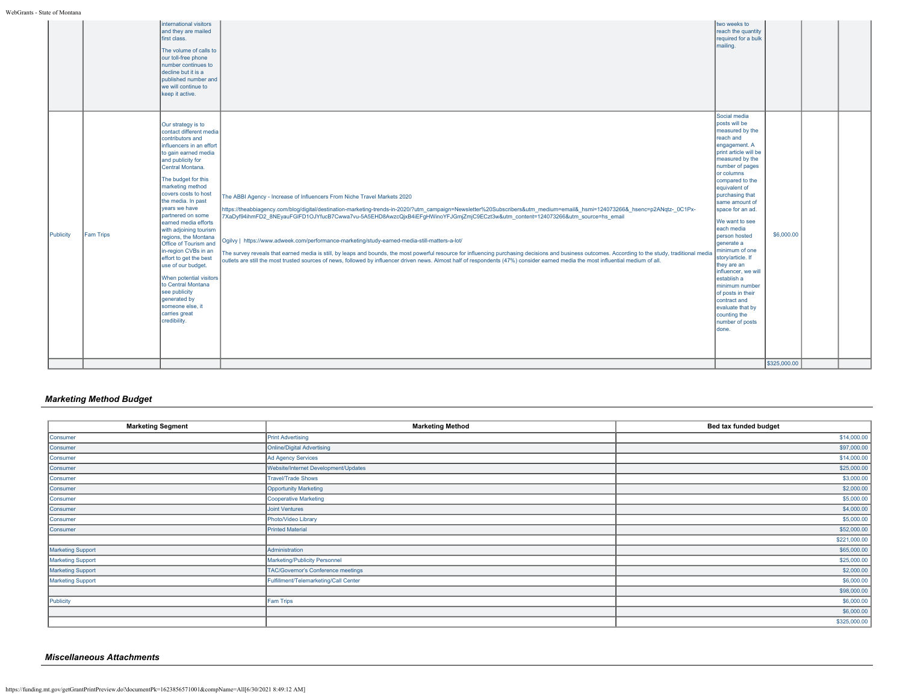WebGrants - State of Montana

| Social media<br>posts will be<br>Our strategy is to<br>measured by the<br>contact different media<br>reach and<br>contributors and<br>engagement. A<br>influencers in an effort<br>print article will be<br>to gain earned media<br>measured by the<br>and publicity for<br>number of pages<br>Central Montana.<br>or columns<br>The budget for this                                                                                                                                                                                                                                                                                                                                                                                                                                                                                                                                                                                                                                                                                                                                                                                                                                                                                                                                                                                                                                                                                                                                                                                                                                                                                                                                                            | two weeks to<br>reach the quantity<br>required for a bulk<br>mailing. |  |
|-----------------------------------------------------------------------------------------------------------------------------------------------------------------------------------------------------------------------------------------------------------------------------------------------------------------------------------------------------------------------------------------------------------------------------------------------------------------------------------------------------------------------------------------------------------------------------------------------------------------------------------------------------------------------------------------------------------------------------------------------------------------------------------------------------------------------------------------------------------------------------------------------------------------------------------------------------------------------------------------------------------------------------------------------------------------------------------------------------------------------------------------------------------------------------------------------------------------------------------------------------------------------------------------------------------------------------------------------------------------------------------------------------------------------------------------------------------------------------------------------------------------------------------------------------------------------------------------------------------------------------------------------------------------------------------------------------------------|-----------------------------------------------------------------------|--|
| marketing method<br>equivalent of<br>covers costs to host<br>purchasing that<br>The ABBI Agency - Increase of Influencers From Niche Travel Markets 2020<br>the media. In past<br>same amount of<br>years we have<br>https://theabbiagency.com/blog/digital/destination-marketing-trends-in-2020/?utm_campaign=Newsletter%20Subscribers&utm_medium=email&_hsmi=124073266&_hsenc=p2ANqtz-_0C1Px-<br>space for an ad.<br>partnered on some<br>7XaDyf94ihmFD2 8NEyauFGIFD1OJYfucB7Cwwa7vu-5A5EHD8AwzcQixB4iEFgHWinoYFJGmjZmjC9ECzt3w&utm content=124073266&utm source=hs email<br>We want to see<br>earned media efforts<br>each media<br>with adjoining tourism<br>Publicity<br><b>Fam Trips</b><br>person hosted<br>regions, the Montana<br>Ogilvy   https://www.adweek.com/performance-marketing/study-earned-media-still-matters-a-lot/<br>generate a<br>Office of Tourism and<br>minimum of one<br>in-region CVBs in an<br>The survey reveals that earned media is still, by leaps and bounds, the most powerful resource for influencing purchasing decisions and business outcomes. According to the study, traditional media<br>story/article. If<br>effort to get the best<br>outlets are still the most trusted sources of news, followed by influencer driven news. Almost half of respondents (47%) consider earned media the most influential medium of all.<br>they are an<br>use of our budget.<br>influencer, we will<br>When potential visitors<br>establish a<br>to Central Montana<br>minimum number<br>see publicity<br>of posts in their<br>generated by<br>contract and<br>someone else, it<br>evaluate that by<br>carries great<br>counting the<br>credibility.<br>number of posts<br>done. | compared to the<br>\$6,000.00<br>\$325,000.00                         |  |

## *Marketing Method Budget*

| <b>Marketing Segment</b> | <b>Marketing Method</b>               | Bed tax funded budget |
|--------------------------|---------------------------------------|-----------------------|
|                          |                                       |                       |
| Consumer                 | <b>Print Advertising</b>              | \$14,000.00           |
| Consumer                 | Online/Digital Advertising            | \$97,000.00           |
| Consumer                 | Ad Agency Services                    | \$14,000.00           |
| Consumer                 | Website/Internet Development/Updates  | \$25,000.00           |
| Consumer                 | <b>Travel/Trade Shows</b>             | \$3,000.00            |
| Consumer                 | <b>Opportunity Marketing</b>          | \$2,000.00            |
| Consumer                 | Cooperative Marketing                 | \$5,000.00            |
| Consumer                 | Joint Ventures                        | \$4,000.00            |
| Consumer                 | Photo/Video Library                   | \$5,000.00            |
| Consumer                 | <b>Printed Material</b>               | \$52,000.00           |
|                          |                                       | \$221,000.00          |
| <b>Marketing Support</b> | Administration                        | \$65,000.00           |
| Marketing Support        | Marketing/Publicity Personnel         | \$25,000.00           |
| <b>Marketing Support</b> | TAC/Governor's Conference meetings    | \$2,000.00            |
| <b>Marketing Support</b> | Fulfillment/Telemarketing/Call Center | \$6,000.00            |
|                          |                                       | \$98,000.00           |
| Publicity                | Fam Trips                             | \$6,000.00            |
|                          |                                       | \$6,000.00            |
|                          |                                       | \$325,000.00          |

## *Miscellaneous Attachments*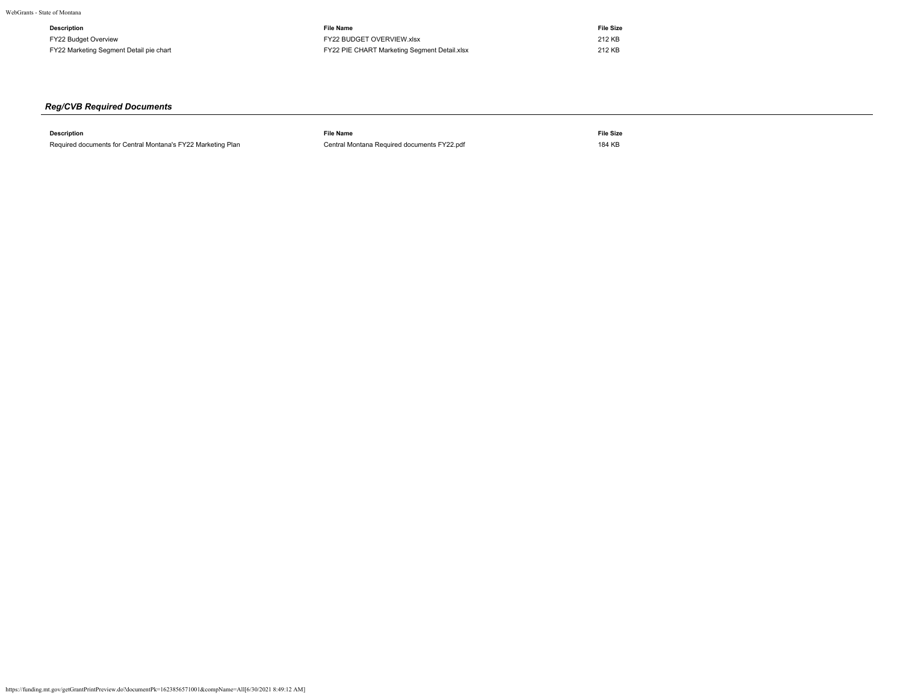| Description                             | <b>File Name</b>                             | <b>File Size</b> |
|-----------------------------------------|----------------------------------------------|------------------|
| FY22 Budget Overview                    | FY22 BUDGET OVERVIEW.xlsx                    | 212 KB           |
| FY22 Marketing Segment Detail pie chart | FY22 PIE CHART Marketing Segment Detail.xlsx | 212 KB           |

# *Reg/CVB Required Documents*

| <b>Description</b>                                           | <b>File Name</b>                            | <b>File Size</b> |
|--------------------------------------------------------------|---------------------------------------------|------------------|
| Required documents for Central Montana's FY22 Marketing Plan | Central Montana Required documents FY22.pdf | 184 KB           |